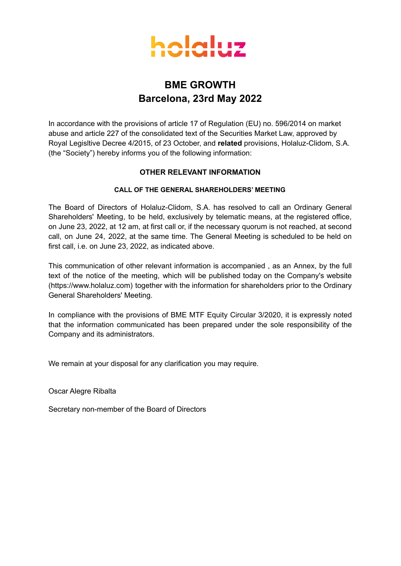

### **BME GROWTH Barcelona, 23rd May 2022**

In accordance with the provisions of article 17 of Regulation (EU) no. 596/2014 on market abuse and article 227 of the consolidated text of the Securities Market Law, approved by Royal Legisltive Decree 4/2015, of 23 October, and **related** provisions, Holaluz-Clidom, S.A. (the "Society") hereby informs you of the following information:

### **OTHER RELEVANT INFORMATION**

### **CALL OF THE GENERAL SHAREHOLDERS' MEETING**

The Board of Directors of Holaluz-Clidom, S.A. has resolved to call an Ordinary General Shareholders' Meeting, to be held, exclusively by telematic means, at the registered office, on June 23, 2022, at 12 am, at first call or, if the necessary quorum is not reached, at second call, on June 24, 2022, at the same time. The General Meeting is scheduled to be held on first call, i.e. on June 23, 2022, as indicated above.

This communication of other relevant information is accompanied , as an Annex, by the full text of the notice of the meeting, which will be published today on the Company's website (https://www.holaluz.com) together with the information for shareholders prior to the Ordinary General Shareholders' Meeting.

In compliance with the provisions of BME MTF Equity Circular 3/2020, it is expressly noted that the information communicated has been prepared under the sole responsibility of the Company and its administrators.

We remain at your disposal for any clarification you may require.

Oscar Alegre Ribalta

Secretary non-member of the Board of Directors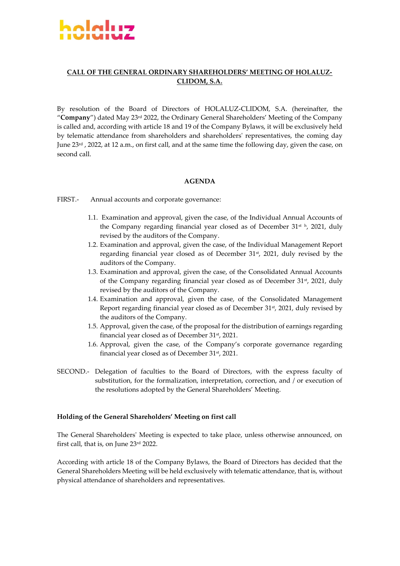

### **CALL OF THE GENERAL ORDINARY SHAREHOLDERS' MEETING OF HOLALUZ-CLIDOM, S.A.**

By resolution of the Board of Directors of HOLALUZ-CLIDOM, S.A. (hereinafter, the "**Company**") dated May 23rd 2022, the Ordinary General Shareholders' Meeting of the Company is called and, according with article 18 and 19 of the Company Bylaws, it will be exclusively held by telematic attendance from shareholders and shareholdersʹ representatives, the coming day June 23rd , 2022, at 12 a.m., on first call, and at the same time the following day, given the case, on second call.

### **AGENDA**

FIRST. Annual accounts and corporate governance:

- 1.1. Examination and approval, given the case, of the Individual Annual Accounts of the Company regarding financial year closed as of December 31<sup>st h</sup>, 2021, duly revised by the auditors of the Company.
- 1.2. Examination and approval, given the case, of the Individual Management Report regarding financial year closed as of December 31<sup>st</sup>, 2021, duly revised by the auditors of the Company.
- 1.3. Examination and approval, given the case, of the Consolidated Annual Accounts of the Company regarding financial year closed as of December  $31<sup>st</sup>$ , 2021, duly revised by the auditors of the Company.
- 1.4. Examination and approval, given the case, of the Consolidated Management Report regarding financial year closed as of December 31<sup>st</sup>, 2021, duly revised by the auditors of the Company.
- 1.5. Approval, given the case, of the proposal for the distribution of earnings regarding financial year closed as of December 31st, 2021.
- 1.6. Approval, given the case, of the Company's corporate governance regarding financial year closed as of December 31st, 2021.
- SECOND. Delegation of faculties to the Board of Directors, with the express faculty of substitution, for the formalization, interpretation, correction, and / or execution of the resolutions adopted by the General Shareholders' Meeting.

#### **Holding of the General Shareholders' Meeting on first call**

The General Shareholdersʹ Meeting is expected to take place, unless otherwise announced, on first call, that is, on June 23rd 2022.

According with article 18 of the Company Bylaws, the Board of Directors has decided that the General Shareholders Meeting will be held exclusively with telematic attendance, that is, without physical attendance of shareholders and representatives.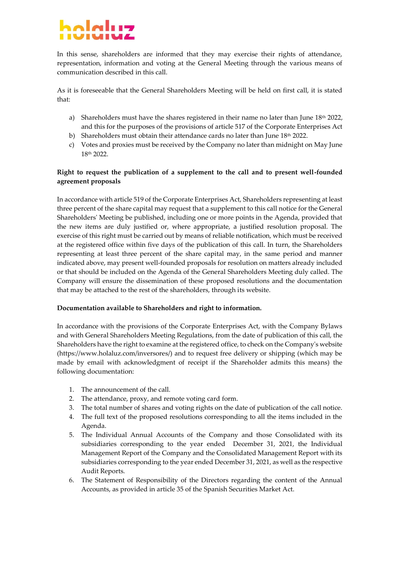# holelus

In this sense, shareholders are informed that they may exercise their rights of attendance, representation, information and voting at the General Meeting through the various means of communication described in this call.

As it is foreseeable that the General Shareholders Meeting will be held on first call, it is stated that:

- a) Shareholders must have the shares registered in their name no later than June  $18<sup>th</sup> 2022$ , and this for the purposes of the provisions of article 517 of the Corporate Enterprises Act
- b) Shareholders must obtain their attendance cards no later than June 18th 2022.
- c) Votes and proxies must be received by the Company no later than midnight on May June 18th 2022.

### **Right to request the publication of a supplement to the call and to present wellfounded agreement proposals**

In accordance with article 519 of the Corporate Enterprises Act, Shareholders representing at least three percent of the share capital may request that a supplement to this call notice for the General Shareholdersʹ Meeting be published, including one or more points in the Agenda, provided that the new items are duly justified or, where appropriate, a justified resolution proposal. The exercise of this right must be carried out by means of reliable notification, which must be received at the registered office within five days of the publication of this call. In turn, the Shareholders representing at least three percent of the share capital may, in the same period and manner indicated above, may present well-founded proposals for resolution on matters already included or that should be included on the Agenda of the General Shareholders Meeting duly called. The Company will ensure the dissemination of these proposed resolutions and the documentation that may be attached to the rest of the shareholders, through its website.

### **Documentation available to Shareholders and right to information.**

In accordance with the provisions of the Corporate Enterprises Act, with the Company Bylaws and with General Shareholders Meeting Regulations, from the date of publication of this call, the Shareholders have the right to examine at the registered office, to check on the Companyʹs website (https://www.holaluz.com/inversores/) and to request free delivery or shipping (which may be made by email with acknowledgment of receipt if the Shareholder admits this means) the following documentation:

- 1. The announcement of the call.
- 2. The attendance, proxy, and remote voting card form.
- 3. The total number of shares and voting rights on the date of publication of the call notice.
- 4. The full text of the proposed resolutions corresponding to all the items included in the Agenda.
- 5. The Individual Annual Accounts of the Company and those Consolidated with its subsidiaries corresponding to the year ended December 31, 2021, the Individual Management Report of the Company and the Consolidated Management Report with its subsidiaries corresponding to the year ended December 31, 2021, as well as the respective Audit Reports.
- 6. The Statement of Responsibility of the Directors regarding the content of the Annual Accounts, as provided in article 35 of the Spanish Securities Market Act.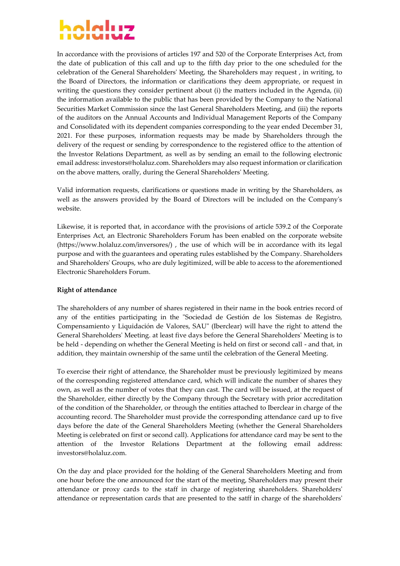# holalus

In accordance with the provisions of articles 197 and 520 of the Corporate Enterprises Act, from the date of publication of this call and up to the fifth day prior to the one scheduled for the celebration of the General Shareholdersʹ Meeting, the Shareholders may request , in writing, to the Board of Directors, the information or clarifications they deem appropriate, or request in writing the questions they consider pertinent about (i) the matters included in the Agenda, (ii) the information available to the public that has been provided by the Company to the National Securities Market Commission since the last General Shareholders Meeting, and (iii) the reports of the auditors on the Annual Accounts and Individual Management Reports of the Company and Consolidated with its dependent companies corresponding to the year ended December 31, 2021. For these purposes, information requests may be made by Shareholders through the delivery of the request or sending by correspondence to the registered office to the attention of the Investor Relations Department, as well as by sending an email to the following electronic email address: investors@holaluz.com. Shareholders may also request information or clarification on the above matters, orally, during the General Shareholdersʹ Meeting.

Valid information requests, clarifications or questions made in writing by the Shareholders, as well as the answers provided by the Board of Directors will be included on the Companyʹs website.

Likewise, it is reported that, in accordance with the provisions of article 539.2 of the Corporate Enterprises Act, an Electronic Shareholders Forum has been enabled on the corporate website (https://www.holaluz.com/inversores/) , the use of which will be in accordance with its legal purpose and with the guarantees and operating rules established by the Company. Shareholders and Shareholders' Groups, who are duly legitimized, will be able to access to the aforementioned Electronic Shareholders Forum.

### **Right of attendance**

The shareholders of any number of shares registered in their name in the book entries record of any of the entities participating in the "Sociedad de Gestión de los Sistemas de Registro, Compensamiento y Liquidación de Valores, SAUʺ (Iberclear) will have the right to attend the General Shareholdersʹ Meeting. at least five days before the General Shareholdersʹ Meeting is to be held - depending on whether the General Meeting is held on first or second call - and that, in addition, they maintain ownership of the same until the celebration of the General Meeting.

To exercise their right of attendance, the Shareholder must be previously legitimized by means of the corresponding registered attendance card, which will indicate the number of shares they own, as well as the number of votes that they can cast. The card will be issued, at the request of the Shareholder, either directly by the Company through the Secretary with prior accreditation of the condition of the Shareholder, or through the entities attached to Iberclear in charge of the accounting record. The Shareholder must provide the corresponding attendance card up to five days before the date of the General Shareholders Meeting (whether the General Shareholders Meeting is celebrated on first or second call). Applications for attendance card may be sent to the attention of the Investor Relations Department at the following email address: investors@holaluz.com.

On the day and place provided for the holding of the General Shareholders Meeting and from one hour before the one announced for the start of the meeting, Shareholders may present their attendance or proxy cards to the staff in charge of registering shareholders. Shareholdersʹ attendance or representation cards that are presented to the satff in charge of the shareholders'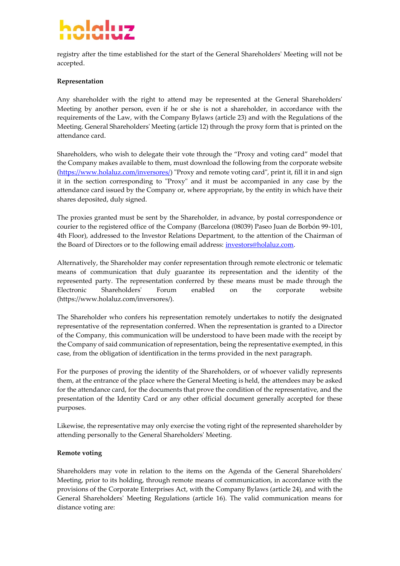# stali

registry after the time established for the start of the General Shareholdersʹ Meeting will not be accepted.

### **Representation**

Any shareholder with the right to attend may be represented at the General Shareholdersʹ Meeting by another person, even if he or she is not a shareholder, in accordance with the requirements of the Law, with the Company Bylaws (article 23) and with the Regulations of the Meeting. General Shareholdersʹ Meeting (article 12) through the proxy form that is printed on the attendance card.

Shareholders, who wish to delegate their vote through the "Proxy and voting card" model that the Company makes available to them, must download the following from the corporate website (https://www.holaluz.com/inversores/) "Proxy and remote voting card", print it, fill it in and sign it in the section corresponding to "Proxy" and it must be accompanied in any case by the attendance card issued by the Company or, where appropriate, by the entity in which have their shares deposited, duly signed.

The proxies granted must be sent by the Shareholder, in advance, by postal correspondence or courier to the registered office of the Company (Barcelona (08039) Paseo Juan de Borbón 99-101, 4th Floor), addressed to the Investor Relations Department, to the attention of the Chairman of the Board of Directors or to the following email address: investors@holaluz.com.

Alternatively, the Shareholder may confer representation through remote electronic or telematic means of communication that duly guarantee its representation and the identity of the represented party. The representation conferred by these means must be made through the Electronic Shareholdersʹ Forum enabled on the corporate website (https://www.holaluz.com/inversores/).

The Shareholder who confers his representation remotely undertakes to notify the designated representative of the representation conferred. When the representation is granted to a Director of the Company, this communication will be understood to have been made with the receipt by the Company of said communication ofrepresentation, being the representative exempted, in this case, from the obligation of identification in the terms provided in the next paragraph.

For the purposes of proving the identity of the Shareholders, or of whoever validly represents them, at the entrance of the place where the General Meeting is held, the attendees may be asked for the attendance card, for the documents that prove the condition of the representative, and the presentation of the Identity Card or any other official document generally accepted for these purposes.

Likewise, the representative may only exercise the voting right of the represented shareholder by attending personally to the General Shareholdersʹ Meeting.

### **Remote voting**

Shareholders may vote in relation to the items on the Agenda of the General Shareholdersʹ Meeting, prior to its holding, through remote means of communication, in accordance with the provisions of the Corporate Enterprises Act, with the Company Bylaws (article 24), and with the General Shareholdersʹ Meeting Regulations (article 16). The valid communication means for distance voting are: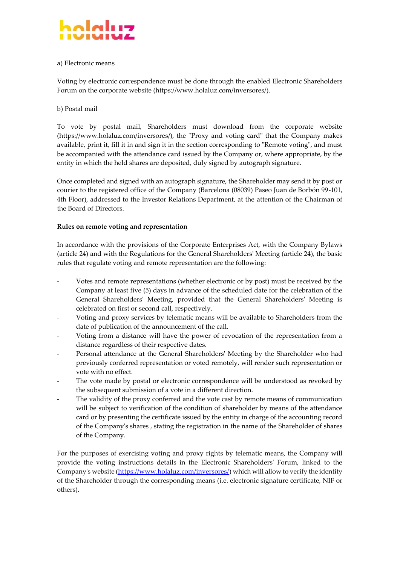### <u>alah </u>

### a) Electronic means

Voting by electronic correspondence must be done through the enabled Electronic Shareholders Forum on the corporate website (https://www.holaluz.com/inversores/).

### b) Postal mail

To vote by postal mail, Shareholders must download from the corporate website (https://www.holaluz.com/inversores/), the "Proxy and voting card" that the Company makes available, print it, fill it in and sign it in the section corresponding to "Remote voting", and must be accompanied with the attendance card issued by the Company or, where appropriate, by the entity in which the held shares are deposited, duly signed by autograph signature.

Once completed and signed with an autograph signature, the Shareholder may send it by post or courier to the registered office of the Company (Barcelona (08039) Paseo Juan de Borbón 99-101, 4th Floor), addressed to the Investor Relations Department, at the attention of the Chairman of the Board of Directors.

### **Rules on remote voting and representation**

In accordance with the provisions of the Corporate Enterprises Act, with the Company Bylaws (article 24) and with the Regulations for the General Shareholdersʹ Meeting (article 24), the basic rules that regulate voting and remote representation are the following:

- Votes and remote representations (whether electronic or by post) must be received by the Company at least five (5) days in advance of the scheduled date for the celebration of the General Shareholdersʹ Meeting, provided that the General Shareholdersʹ Meeting is celebrated on first or second call, respectively.
- Voting and proxy services by telematic means will be available to Shareholders from the date of publication of the announcement of the call.
- Voting from a distance will have the power of revocation of the representation from a distance regardless of their respective dates.
- Personal attendance at the General Shareholdersʹ Meeting by the Shareholder who had previously conferred representation or voted remotely, will render such representation or vote with no effect.
- The vote made by postal or electronic correspondence will be understood as revoked by the subsequent submission of a vote in a different direction.
- The validity of the proxy conferred and the vote cast by remote means of communication will be subject to verification of the condition of shareholder by means of the attendance card or by presenting the certificate issued by the entity in charge of the accounting record of the Companyʹs shares , stating the registration in the name of the Shareholder of shares of the Company.

For the purposes of exercising voting and proxy rights by telematic means, the Company will provide the voting instructions details in the Electronic Shareholdersʹ Forum, linked to the Company's website (https://www.holaluz.com/inversores/) which will allow to verify the identity of the Shareholder through the corresponding means (i.e. electronic signature certificate, NIF or others).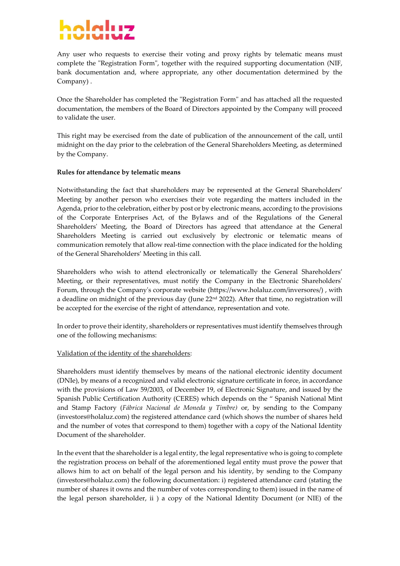# holelus

Any user who requests to exercise their voting and proxy rights by telematic means must complete the "Registration Form", together with the required supporting documentation (NIF, bank documentation and, where appropriate, any other documentation determined by the Company) .

Once the Shareholder has completed the "Registration Form" and has attached all the requested documentation, the members of the Board of Directors appointed by the Company will proceed to validate the user.

This right may be exercised from the date of publication of the announcement of the call, until midnight on the day prior to the celebration of the General Shareholders Meeting, as determined by the Company.

### **Rules for attendance by telematic means**

Notwithstanding the fact that shareholders may be represented at the General Shareholders' Meeting by another person who exercises their vote regarding the matters included in the Agenda, prior to the celebration, either by post or by electronic means, according to the provisions of the Corporate Enterprises Act, of the Bylaws and of the Regulations of the General Shareholdersʹ Meeting, the Board of Directors has agreed that attendance at the General Shareholders Meeting is carried out exclusively by electronic or telematic means of communication remotely that allow real-time connection with the place indicated for the holding of the General Shareholders' Meeting in this call.

Shareholders who wish to attend electronically or telematically the General Shareholders' Meeting, or their representatives, must notify the Company in the Electronic Shareholders' Forum, through the Companyʹs corporate website (https://www.holaluz.com/inversores/) , with a deadline on midnight of the previous day (June  $22<sup>nd</sup> 2022$ ). After that time, no registration will be accepted for the exercise of the right of attendance, representation and vote.

In order to prove their identity, shareholders or representatives must identify themselves through one of the following mechanisms:

### Validation of the identity of the shareholders:

Shareholders must identify themselves by means of the national electronic identity document (DNIe), by means of a recognized and valid electronic signature certificate in force, in accordance with the provisions of Law 59/2003, of December 19, of Electronic Signature, and issued by the Spanish Public Certification Authority (CERES) which depends on the " Spanish National Mint and Stamp Factory (*Fábrica Nacional de Moneda y Timbre)* or, by sending to the Company (investors@holaluz.com) the registered attendance card (which shows the number of shares held and the number of votes that correspond to them) together with a copy of the National Identity Document of the shareholder.

In the event that the shareholder is a legal entity, the legal representative who is going to complete the registration process on behalf of the aforementioned legal entity must prove the power that allows him to act on behalf of the legal person and his identity, by sending to the Company (investors@holaluz.com) the following documentation: i) registered attendance card (stating the number of shares it owns and the number of votes corresponding to them) issued in the name of the legal person shareholder, ii ) a copy of the National Identity Document (or NIE) of the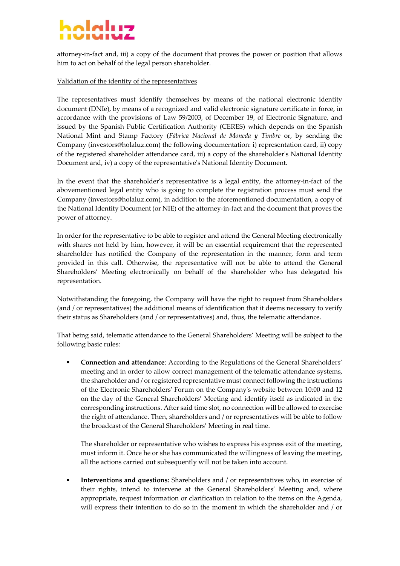# holelus

attorney-in-fact and, iii) a copy of the document that proves the power or position that allows him to act on behalf of the legal person shareholder.

### Validation of the identity of the representatives

The representatives must identify themselves by means of the national electronic identity document (DNIe), by means of a recognized and valid electronic signature certificate in force, in accordance with the provisions of Law 59/2003, of December 19, of Electronic Signature, and issued by the Spanish Public Certification Authority (CERES) which depends on the Spanish National Mint and Stamp Factory (*Fábrica Nacional de Moneda y Timbre* or, by sending the Company (investors@holaluz.com) the following documentation: i) representation card, ii) copy of the registered shareholder attendance card, iii) a copy of the shareholderʹs National Identity Document and, iv) a copy of the representativeʹs National Identity Document.

In the event that the shareholder's representative is a legal entity, the attorney-in-fact of the abovementioned legal entity who is going to complete the registration process must send the Company (investors@holaluz.com), in addition to the aforementioned documentation, a copy of the National Identity Document (or NIE) of the attorney-in-fact and the document that proves the power of attorney.

In order for the representative to be able to register and attend the General Meeting electronically with shares not held by him, however, it will be an essential requirement that the represented shareholder has notified the Company of the representation in the manner, form and term provided in this call. Otherwise, the representative will not be able to attend the General Shareholders' Meeting electronically on behalf of the shareholder who has delegated his representation.

Notwithstanding the foregoing, the Company will have the right to request from Shareholders (and / or representatives) the additional means of identification that it deems necessary to verify their status as Shareholders (and / or representatives) and, thus, the telematic attendance.

That being said, telematic attendance to the General Shareholders' Meeting will be subject to the following basic rules:

▪ **Connection and attendance**: According to the Regulations of the General Shareholders' meeting and in order to allow correct management of the telematic attendance systems, the shareholder and / orregistered representative must connect following the instructions of the Electronic Shareholdersʹ Forum on the Companyʹs website between 10:00 and 12 on the day of the General Shareholders' Meeting and identify itself as indicated in the corresponding instructions. After said time slot, no connection will be allowed to exercise the right of attendance. Then, shareholders and / or representatives will be able to follow the broadcast of the General Shareholders' Meeting in real time.

The shareholder or representative who wishes to express his express exit of the meeting, must inform it. Once he or she has communicated the willingness of leaving the meeting, all the actions carried out subsequently will not be taken into account.

▪ **Interventions and questions:** Shareholders and / or representatives who, in exercise of their rights, intend to intervene at the General Shareholders' Meeting and, where appropriate, request information or clarification in relation to the items on the Agenda, will express their intention to do so in the moment in which the shareholder and / or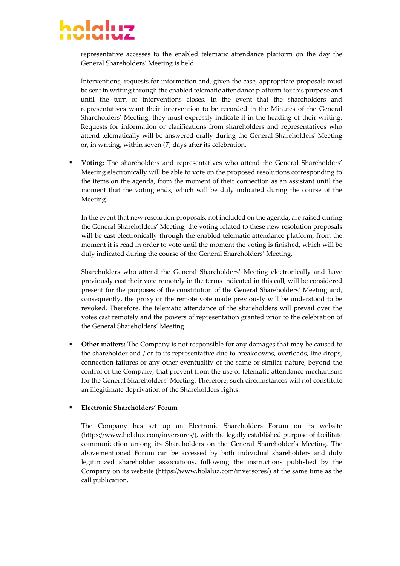## حبباوام

representative accesses to the enabled telematic attendance platform on the day the General Shareholders' Meeting is held.

Interventions, requests for information and, given the case, appropriate proposals must be sent in writing through the enabled telematic attendance platform for this purpose and until the turn of interventions closes. In the event that the shareholders and representatives want their intervention to be recorded in the Minutes of the General Shareholders' Meeting, they must expressly indicate it in the heading of their writing. Requests for information or clarifications from shareholders and representatives who attend telematically will be answered orally during the General Shareholdersʹ Meeting or, in writing, within seven (7) days after its celebration.

▪ **Voting:** The shareholders and representatives who attend the General Shareholders' Meeting electronically will be able to vote on the proposed resolutions corresponding to the items on the agenda, from the moment of their connection as an assistant until the moment that the voting ends, which will be duly indicated during the course of the Meeting.

In the event that new resolution proposals, not included on the agenda, are raised during the General Shareholders' Meeting, the voting related to these new resolution proposals will be cast electronically through the enabled telematic attendance platform, from the moment it is read in order to vote until the moment the voting is finished, which will be duly indicated during the course of the General Shareholders' Meeting.

Shareholders who attend the General Shareholders' Meeting electronically and have previously cast their vote remotely in the terms indicated in this call, will be considered present for the purposes of the constitution of the General Shareholders' Meeting and, consequently, the proxy or the remote vote made previously will be understood to be revoked. Therefore, the telematic attendance of the shareholders will prevail over the votes cast remotely and the powers of representation granted prior to the celebration of the General Shareholders' Meeting.

**Other matters:** The Company is not responsible for any damages that may be caused to the shareholder and / or to its representative due to breakdowns, overloads, line drops, connection failures or any other eventuality of the same or similar nature, beyond the control of the Company, that prevent from the use of telematic attendance mechanisms for the General Shareholders' Meeting. Therefore, such circumstances will not constitute an illegitimate deprivation of the Shareholders rights.

### ▪ **Electronic Shareholders' Forum**

The Company has set up an Electronic Shareholders Forum on its website (https://www.holaluz.com/inversores/), with the legally established purpose of facilitate communication among its Shareholders on the General Shareholder's Meeting. The abovementioned Forum can be accessed by both individual shareholders and duly legitimized shareholder associations, following the instructions published by the Company on its website (https://www.holaluz.com/inversores/) at the same time as the call publication.